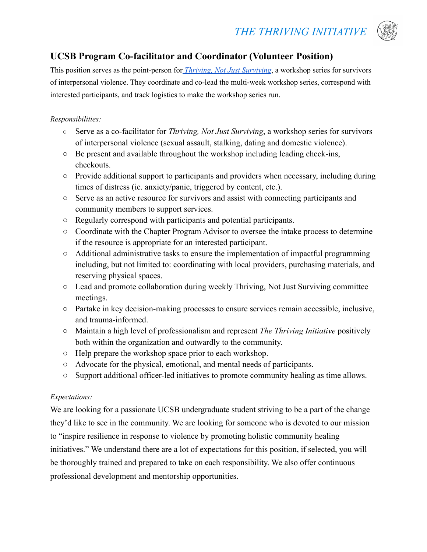# *THE THRIVING INITIATIVE*



## **UCSB Program Co-facilitator and Coordinator (Volunteer Position)**

This position serves as the point-person for *Thriving, Not Just [Surviving](https://www.thethrivinginitiative.org/thriving-not-just-surviving)*, a workshop series for survivors of interpersonal violence. They coordinate and co-lead the multi-week workshop series, correspond with interested participants, and track logistics to make the workshop series run.

#### *Responsibilities:*

- **○** Serve as a co-facilitator for *Thriving, Not Just Surviving*, a workshop series for survivors of interpersonal violence (sexual assault, stalking, dating and domestic violence).
- **○** Be present and available throughout the workshop including leading check-ins, checkouts.
- **○** Provide additional support to participants and providers when necessary, including during times of distress (ie. anxiety/panic, triggered by content, etc.).
- **○** Serve as an active resource for survivors and assist with connecting participants and community members to support services.
- **○** Regularly correspond with participants and potential participants.
- **○** Coordinate with the Chapter Program Advisor to oversee the intake process to determine if the resource is appropriate for an interested participant.
- **○** Additional administrative tasks to ensure the implementation of impactful programming including, but not limited to: coordinating with local providers, purchasing materials, and reserving physical spaces.
- **○** Lead and promote collaboration during weekly Thriving, Not Just Surviving committee meetings.
- **○** Partake in key decision-making processes to ensure services remain accessible, inclusive, and trauma-informed.
- **○** Maintain a high level of professionalism and represent *The Thriving Initiative* positively both within the organization and outwardly to the community.
- **○** Help prepare the workshop space prior to each workshop.
- **○** Advocate for the physical, emotional, and mental needs of participants.
- **○** Support additional officer-led initiatives to promote community healing as time allows.

#### *Expectations:*

We are looking for a passionate UCSB undergraduate student striving to be a part of the change they'd like to see in the community. We are looking for someone who is devoted to our mission to "inspire resilience in response to violence by promoting holistic community healing initiatives." We understand there are a lot of expectations for this position, if selected, you will be thoroughly trained and prepared to take on each responsibility. We also offer continuous professional development and mentorship opportunities.